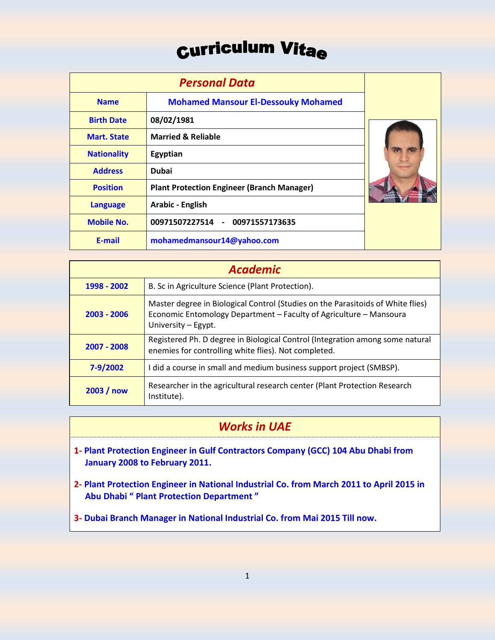# **Curriculum Vitae**

|                    | <b>Personal Data</b>                              |  |
|--------------------|---------------------------------------------------|--|
| <b>Name</b>        | <b>Mohamed Mansour El-Dessouky Mohamed</b>        |  |
| <b>Birth Date</b>  | 08/02/1981                                        |  |
| <b>Mart, State</b> | <b>Married &amp; Reliable</b>                     |  |
| <b>Nationality</b> | Egyptian                                          |  |
| <b>Address</b>     | <b>Dubai</b>                                      |  |
| <b>Position</b>    | <b>Plant Protection Engineer (Branch Manager)</b> |  |
| <b>Language</b>    | <b>Arabic - English</b>                           |  |
| <b>Mobile No.</b>  | 00971507227514 - 00971557173635                   |  |
| E-mail             | mohamedmansour14@yahoo.com                        |  |

| <b>Academic</b> |                                                                                                                                                                              |  |
|-----------------|------------------------------------------------------------------------------------------------------------------------------------------------------------------------------|--|
| 1998 - 2002     | B. Sc in Agriculture Science (Plant Protection).                                                                                                                             |  |
| $2003 - 2006$   | Master degree in Biological Control (Studies on the Parasitoids of White flies)<br>Economic Entomology Department - Faculty of Agriculture - Mansoura<br>University - Egypt. |  |
| 2007 - 2008     | Registered Ph. D degree in Biological Control (Integration among some natural<br>enemies for controlling white flies). Not completed.                                        |  |
| 7-9/2002        | I did a course in small and medium business support project (SMBSP).                                                                                                         |  |
| 2003/now        | Researcher in the agricultural research center (Plant Protection Research<br>Institute).                                                                                     |  |

### *Works in UAE*

- **1- Plant Protection Engineer in Gulf Contractors Company (GCC) 104 Abu Dhabi from January 2008 to February 2011.**
- **2- Plant Protection Engineer in National Industrial Co. from March 2011 to April 2015 in Abu Dhabi " Plant Protection Department "**
- **3- Dubai Branch Manager in National Industrial Co. from Mai 2015 Till now.**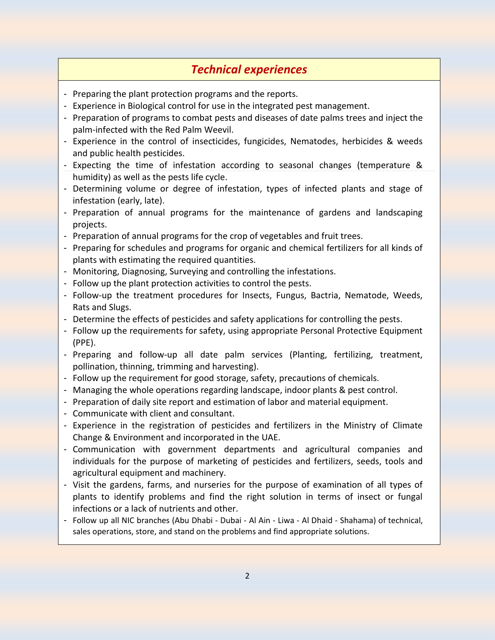### *Technical experiences*

- Preparing the plant protection programs and the reports.
- Experience in Biological control for use in the integrated pest management.
- Preparation of programs to combat pests and diseases of date palms trees and inject the palm-infected with the Red Palm Weevil.
- Experience in the control of insecticides, fungicides, Nematodes, herbicides & weeds and public health pesticides.
- Expecting the time of infestation according to seasonal changes (temperature & humidity) as well as the pests life cycle.
- Determining volume or degree of infestation, types of infected plants and stage of infestation (early, late).
- Preparation of annual programs for the maintenance of gardens and landscaping projects.
- Preparation of annual programs for the crop of vegetables and fruit trees.
- Preparing for schedules and programs for organic and chemical fertilizers for all kinds of plants with estimating the required quantities.
- Monitoring, Diagnosing, Surveying and controlling the infestations.
- Follow up the plant protection activities to control the pests.
- Follow-up the treatment procedures for Insects, Fungus, Bactria, Nematode, Weeds, Rats and Slugs.
- Determine the effects of pesticides and safety applications for controlling the pests.
- Follow up the requirements for safety, using appropriate Personal Protective Equipment (PPE).
- Preparing and follow-up all date palm services (Planting, fertilizing, treatment, pollination, thinning, trimming and harvesting).
- Follow up the requirement for good storage, safety, precautions of chemicals.
- Managing the whole operations regarding landscape, indoor plants & pest control.
- Preparation of daily site report and estimation of labor and material equipment.
- Communicate with client and consultant.
- Experience in the registration of pesticides and fertilizers in the Ministry of Climate Change & Environment and incorporated in the UAE.
- Communication with government departments and agricultural companies and individuals for the purpose of marketing of pesticides and fertilizers, seeds, tools and agricultural equipment and machinery.
- Visit the gardens, farms, and nurseries for the purpose of examination of all types of plants to identify problems and find the right solution in terms of insect or fungal infections or a lack of nutrients and other.
- Follow up all NIC branches (Abu Dhabi Dubai Al Ain Liwa Al Dhaid Shahama) of technical, sales operations, store, and stand on the problems and find appropriate solutions.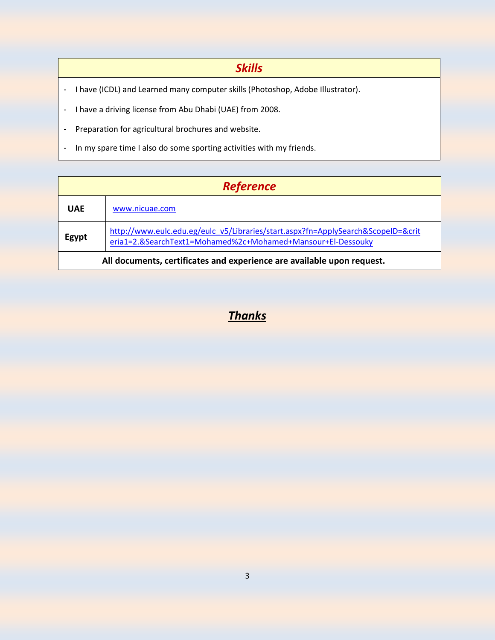#### *Skills*

- I have (ICDL) and Learned many computer skills (Photoshop, Adobe Illustrator).
- I have a driving license from Abu Dhabi (UAE) from 2008.
- Preparation for agricultural brochures and website.
- In my spare time I also do some sporting activities with my friends.

| <b>Reference</b>                                                       |                                                                                                                                                 |
|------------------------------------------------------------------------|-------------------------------------------------------------------------------------------------------------------------------------------------|
| <b>UAF</b>                                                             | www.nicuae.com                                                                                                                                  |
|                                                                        | http://www.eulc.edu.eg/eulc_v5/Libraries/start.aspx?fn=ApplySearch&ScopeID=&crit<br>eria1=2.&SearchText1=Mohamed%2c+Mohamed+Mansour+El-Dessouky |
| All documents, certificates and experience are available upon request. |                                                                                                                                                 |

### *Thanks*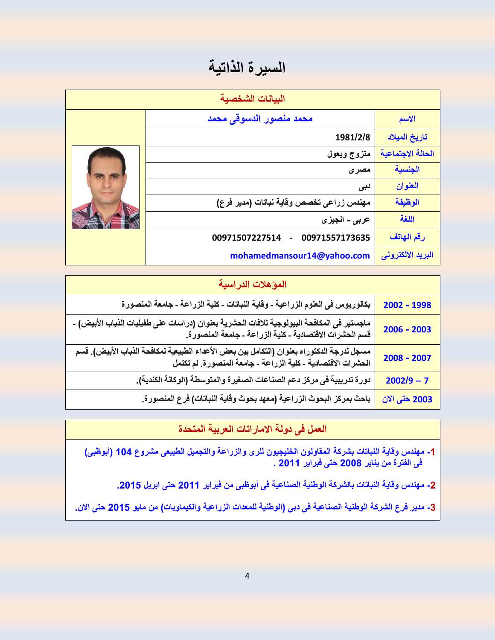## السيرة الذاتية

| البيانات الشخصية |                                                    |                   |
|------------------|----------------------------------------------------|-------------------|
|                  | محمد منصور الدسوقى محمد                            | الاسم             |
|                  | 1981/2/8                                           | تاريخ الميلاد     |
|                  | متزوج ويعول                                        | الحالة الاجتماعية |
|                  | مصری                                               | الجنسية           |
|                  | دبی                                                | العنوان           |
|                  | مهندس زراعي تخصص وقاية نباتات (مدير فرع)           | الوظيفة           |
|                  | عربي - انجيزي                                      | اللغة             |
|                  | 00971507227514<br>00971557173635<br>$\blacksquare$ | رقم الهاتف        |
|                  | mohamedmansour14@yahoo.com                         | البريد الالكتروني |

| المؤهلات الدراسية                                                                                                                                            |               |  |
|--------------------------------------------------------------------------------------------------------------------------------------------------------------|---------------|--|
| بكالوريوس في العلوم الزراعية - وقاية النباتات - كلية الزراعة - جامعة المنصورة                                                                                | 2002 - 1998   |  |
| ماجستير ف <i>ى</i> المكافحة البيولوجية للافات الحشرية بعنوان (دراسات على طفيليات الذباب الأبيض) -<br>قسم الحشرات الاقتصادية - كلية الزراعة - جامعة المنصورة. | $2006 - 2003$ |  |
| مسجل لدرجة الدكتوراه بعنوان (التكامل بين بعض الأعداء الطبيعية لمكافحة الذباب الأبيض). قسم<br>الحشرات الاقتصادية - كلية الزراعة - جامعة المنصورة. لم تكتمل    | 2008 - 2007   |  |
| دورة تدريبية في مركز دعم الصناعات الصغيرة والمتوسطة (الوكالة الكندية).                                                                                       | $2002/9 - 7$  |  |
| باحث بمركز البحوث الزراعية (معهد بحوث وقاية النباتات) فرع المنصورة.                                                                                          | 2003 حتى الان |  |

### **العمل فى دولة االماراتات العربية المتحدة**

- **-1 مهندس وقاية النباتات بشركة المقاولون الخليجيون للرى والزراعة والتجميل الطبيعى مشروع 104 )أبوظبى( فى الفترة من يناير 2002 حتى فبراير 2011 .**
	- **-2 مهندس وقاية النباتات بالشركة الوطنية الصناعية فى أبوظبى من فبراير 2011 حتى ابريل .2015**

**-3 مدير فرع الشركة الوطنية الصناعية فى دبى )الوطنية للمعدات الزراعية والكيماويات( من مايو 2015 حتى االن.**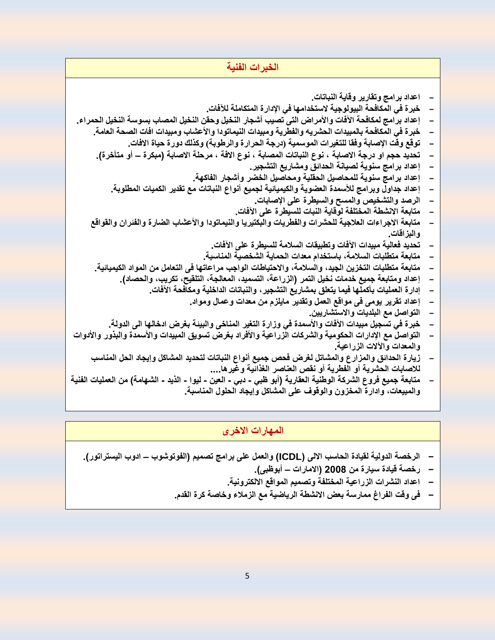| الخبرات الفنية                                                                                                  |  |
|-----------------------------------------------------------------------------------------------------------------|--|
|                                                                                                                 |  |
| اعداد برامج وتقارير وقاية النباتات.                                                                             |  |
| خبر ة في المكافحة البيولوجية لاستخدامها في الإدار ة المتكاملة للآفات.                                           |  |
| إعداد برامج لمكافحة الآفات والأمراض التى تصيب أشجار النخيل وحقن النخيل المصاب بسوسة النخيل الحمراء.             |  |
| خبر ة في المكافحة بالمبيدات الحشريه والفطرية ومبيدات النيماتودا والأعشاب ومبيدات افات الصحة العامة.             |  |
| توقع وقت الإصابة وفقا للتغيرات الموسمية (درجة الحرارة والرطوبة) وكذلك دورة حياة الافات.                         |  |
| تحديد حجم او درجة الاصابة ، نوع النباتات المصابة ، نوع الافة ، مرحلة الاصابة (مبكرة – أو متأخرة).               |  |
| إعداد برامج سنوية لصيانة الحدائق ومشاريع التشجير                                                                |  |
| إعداد برامج سنوية للمحاصيل الحقلية ومحاصيل الخضر وأشجار الفاكهة.                                                |  |
| إعداد جداول وبرامج للأسمدة العضوية والكيميائية لجميع أنواع النباتات مع تقدير الكميات المطلوبة.                  |  |
| الرصد والتشخيص والمسح والسيطرة على الإصابات.                                                                    |  |
| متابعة الانشطة المختلفة لوقاية النبات للسيطرة على الآفات.                                                       |  |
| متابعة الاجراءات العلاجية للحشرات والفطريات والبكتيريا والنيماتودا والأعشاب الضارة والفئران والقواقع            |  |
| والبزاقات.                                                                                                      |  |
| تحديد فعالية مبيدات الآفات وتطبيقات السلامة للسيطرة على الآفات.                                                 |  |
| متابعة متطلبات السلامة، باستخدام معدات الحماية الشخصية المناسبة.                                                |  |
| متابعة متطلبات التخزين الجيد، والسلامة، والاحتياطات الواجب مراعاتها في التعامل من المواد الكيميائية.            |  |
| إعداد ومتابعة جميع خدمات نخيل التمر (الزراعة، التسميد، المعالجة، التلقيح، تكريب، والحصاد).                      |  |
| إدارة العمليات بأكملها فيما يتعلق بمشاريع التشجير ، والنباتات الداخلية ومكافحة الآفات                           |  |
| إعداد تقرير يومي في مواقع العمل وتقدير مايلزم من معدات وعمال ومواد.                                             |  |
| التواصل مع البلديات والاستشاريين.                                                                               |  |
| خبرة في تسجيل مبيدات الآفات والأسمدة في وزارة التغير المناخي والبيئة بغرض ادخالها الى الدولة.                   |  |
| التواصل مع الإدارات الحكومية والشركات الزراعية والأفراد بغرض تسويق المبيدات والأسمدة والبذور والأدوات           |  |
| والمعدات والآلات الزراعية.                                                                                      |  |
| زيارة الحدائق والمزارع والمشاتل لغرض فحص جميع أنواع النباتات لتحديد المشاكل وإيجاد الحل المناسب                 |  |
| للاصابات الحشرية أو الفطرية أو نقص العناصر الغذائية وغيرها                                                      |  |
| متابعة جميع فروع الشركة الوطنية العقارية (أبو ظبي - دبي - العين - ليوا - الذيد -<br>الشهامة) من العمليات الفنية |  |
| والمبيعات، وادارة المخزون والوقوف على المشاكل وإيجاد الحلول المناسبة.                                           |  |

### **المهارات االخرى**

- **- الرخصة الدولية لقيادة الحاسب االلى )ICDL )والعمل على برامج تصميم )الفوتوشوب – ادوب اليستراتور(.**
	- **- رخصة قيادة سيارة من 2002 )االمارات – أبوظبى(.**
	- **- اعداد النشرات الزراعية المختلفة وتصميم المواقع االلكترونية.**
	- **- فى وقت الفراغ ممارسة بعض االنشطة الرياضية مع الزمالء وخاصة كرة القدم.**